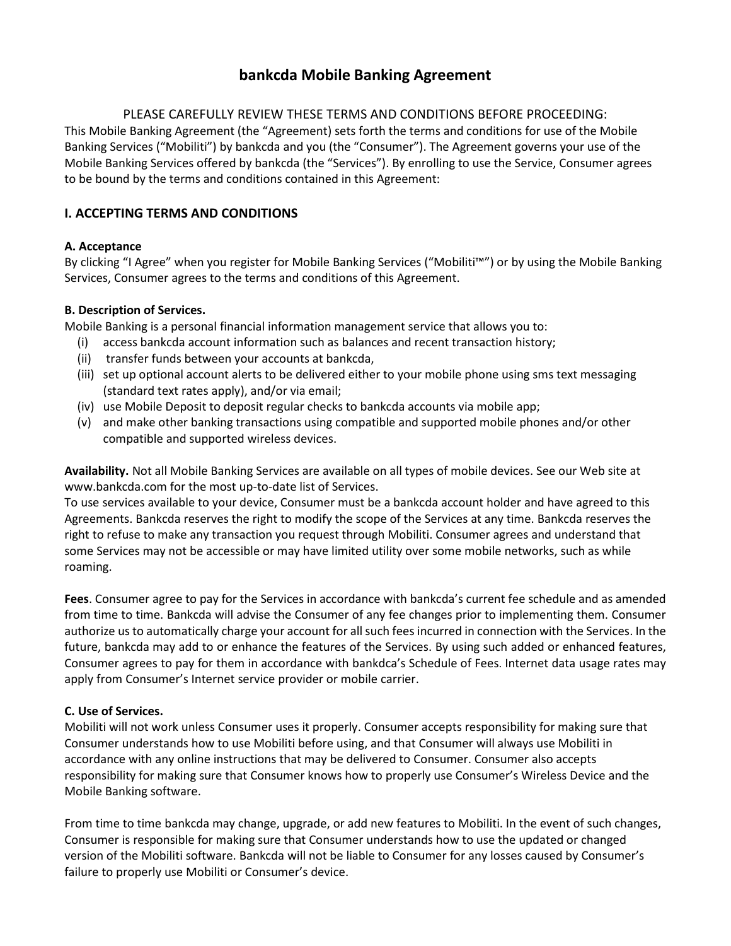# **bankcda Mobile Banking Agreement**

# PLEASE CAREFULLY REVIEW THESE TERMS AND CONDITIONS BEFORE PROCEEDING:

This Mobile Banking Agreement (the "Agreement) sets forth the terms and conditions for use of the Mobile Banking Services ("Mobiliti") by bankcda and you (the "Consumer"). The Agreement governs your use of the Mobile Banking Services offered by bankcda (the "Services"). By enrolling to use the Service, Consumer agrees to be bound by the terms and conditions contained in this Agreement:

# **I. ACCEPTING TERMS AND CONDITIONS**

## **A. Acceptance**

By clicking "I Agree" when you register for Mobile Banking Services ("Mobiliti™") or by using the Mobile Banking Services, Consumer agrees to the terms and conditions of this Agreement.

## **B. Description of Services.**

Mobile Banking is a personal financial information management service that allows you to:

- (i) access bankcda account information such as balances and recent transaction history;
- (ii) transfer funds between your accounts at bankcda,
- (iii) set up optional account alerts to be delivered either to your mobile phone using sms text messaging (standard text rates apply), and/or via email;
- (iv) use Mobile Deposit to deposit regular checks to bankcda accounts via mobile app;
- (v) and make other banking transactions using compatible and supported mobile phones and/or other compatible and supported wireless devices.

**Availability.** Not all Mobile Banking Services are available on all types of mobile devices. See our Web site at www.bankcda.com for the most up-to-date list of Services.

To use services available to your device, Consumer must be a bankcda account holder and have agreed to this Agreements. Bankcda reserves the right to modify the scope of the Services at any time. Bankcda reserves the right to refuse to make any transaction you request through Mobiliti. Consumer agrees and understand that some Services may not be accessible or may have limited utility over some mobile networks, such as while roaming.

**Fees**. Consumer agree to pay for the Services in accordance with bankcda's current fee schedule and as amended from time to time. Bankcda will advise the Consumer of any fee changes prior to implementing them. Consumer authorize us to automatically charge your account for all such fees incurred in connection with the Services. In the future, bankcda may add to or enhance the features of the Services. By using such added or enhanced features, Consumer agrees to pay for them in accordance with bankdca's Schedule of Fees. Internet data usage rates may apply from Consumer's Internet service provider or mobile carrier.

### **C. Use of Services.**

Mobiliti will not work unless Consumer uses it properly. Consumer accepts responsibility for making sure that Consumer understands how to use Mobiliti before using, and that Consumer will always use Mobiliti in accordance with any online instructions that may be delivered to Consumer. Consumer also accepts responsibility for making sure that Consumer knows how to properly use Consumer's Wireless Device and the Mobile Banking software.

From time to time bankcda may change, upgrade, or add new features to Mobiliti. In the event of such changes, Consumer is responsible for making sure that Consumer understands how to use the updated or changed version of the Mobiliti software. Bankcda will not be liable to Consumer for any losses caused by Consumer's failure to properly use Mobiliti or Consumer's device.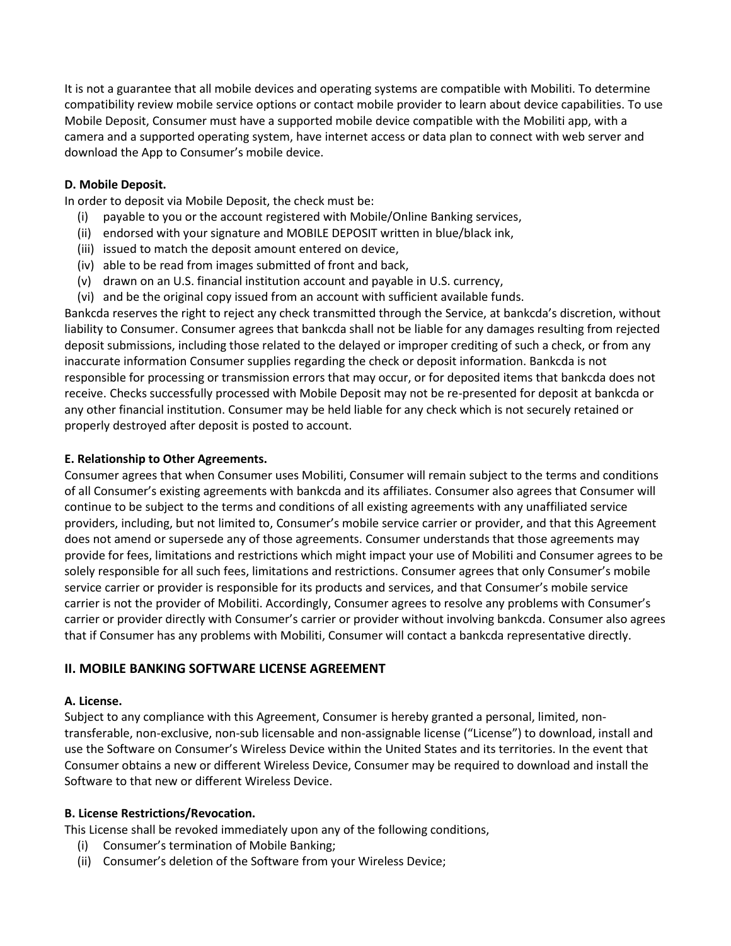It is not a guarantee that all mobile devices and operating systems are compatible with Mobiliti. To determine compatibility review mobile service options or contact mobile provider to learn about device capabilities. To use Mobile Deposit, Consumer must have a supported mobile device compatible with the Mobiliti app, with a camera and a supported operating system, have internet access or data plan to connect with web server and download the App to Consumer's mobile device.

### **D. Mobile Deposit.**

In order to deposit via Mobile Deposit, the check must be:

- (i) payable to you or the account registered with Mobile/Online Banking services,
- (ii) endorsed with your signature and MOBILE DEPOSIT written in blue/black ink,
- (iii) issued to match the deposit amount entered on device,
- (iv) able to be read from images submitted of front and back,
- (v) drawn on an U.S. financial institution account and payable in U.S. currency,
- (vi) and be the original copy issued from an account with sufficient available funds.

Bankcda reserves the right to reject any check transmitted through the Service, at bankcda's discretion, without liability to Consumer. Consumer agrees that bankcda shall not be liable for any damages resulting from rejected deposit submissions, including those related to the delayed or improper crediting of such a check, or from any inaccurate information Consumer supplies regarding the check or deposit information. Bankcda is not responsible for processing or transmission errors that may occur, or for deposited items that bankcda does not receive. Checks successfully processed with Mobile Deposit may not be re-presented for deposit at bankcda or any other financial institution. Consumer may be held liable for any check which is not securely retained or properly destroyed after deposit is posted to account.

## **E. Relationship to Other Agreements.**

Consumer agrees that when Consumer uses Mobiliti, Consumer will remain subject to the terms and conditions of all Consumer's existing agreements with bankcda and its affiliates. Consumer also agrees that Consumer will continue to be subject to the terms and conditions of all existing agreements with any unaffiliated service providers, including, but not limited to, Consumer's mobile service carrier or provider, and that this Agreement does not amend or supersede any of those agreements. Consumer understands that those agreements may provide for fees, limitations and restrictions which might impact your use of Mobiliti and Consumer agrees to be solely responsible for all such fees, limitations and restrictions. Consumer agrees that only Consumer's mobile service carrier or provider is responsible for its products and services, and that Consumer's mobile service carrier is not the provider of Mobiliti. Accordingly, Consumer agrees to resolve any problems with Consumer's carrier or provider directly with Consumer's carrier or provider without involving bankcda. Consumer also agrees that if Consumer has any problems with Mobiliti, Consumer will contact a bankcda representative directly.

#### **II. MOBILE BANKING SOFTWARE LICENSE AGREEMENT**

#### **A. License.**

Subject to any compliance with this Agreement, Consumer is hereby granted a personal, limited, nontransferable, non-exclusive, non-sub licensable and non-assignable license ("License") to download, install and use the Software on Consumer's Wireless Device within the United States and its territories. In the event that Consumer obtains a new or different Wireless Device, Consumer may be required to download and install the Software to that new or different Wireless Device.

#### **B. License Restrictions/Revocation.**

This License shall be revoked immediately upon any of the following conditions,

- (i) Consumer's termination of Mobile Banking;
- (ii) Consumer's deletion of the Software from your Wireless Device;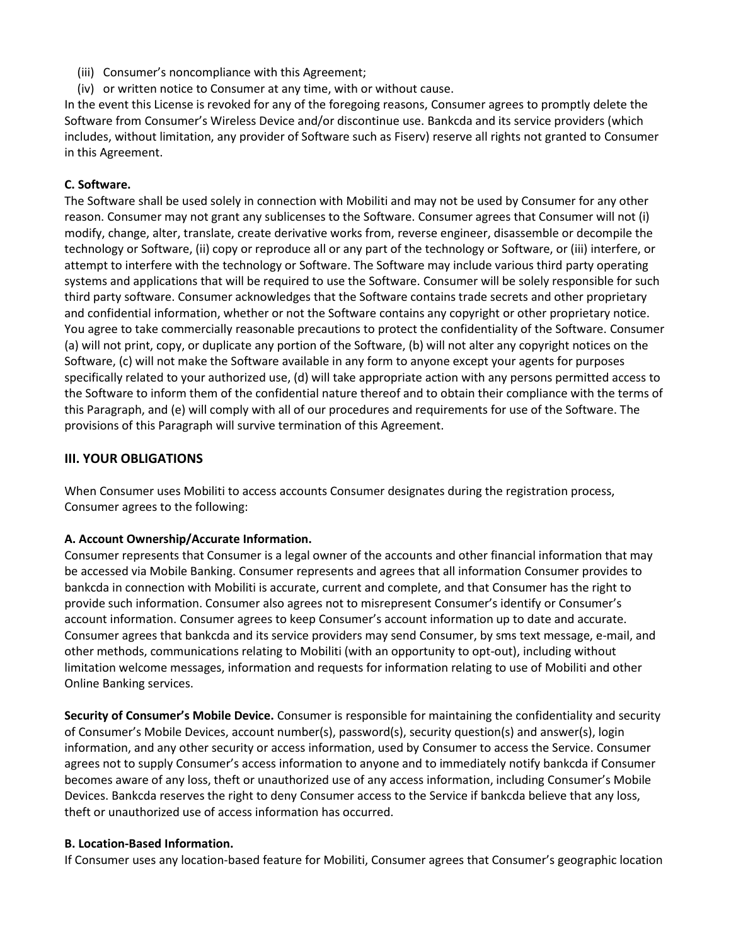- (iii) Consumer's noncompliance with this Agreement;
- (iv) or written notice to Consumer at any time, with or without cause.

In the event this License is revoked for any of the foregoing reasons, Consumer agrees to promptly delete the Software from Consumer's Wireless Device and/or discontinue use. Bankcda and its service providers (which includes, without limitation, any provider of Software such as Fiserv) reserve all rights not granted to Consumer in this Agreement.

## **C. Software.**

The Software shall be used solely in connection with Mobiliti and may not be used by Consumer for any other reason. Consumer may not grant any sublicenses to the Software. Consumer agrees that Consumer will not (i) modify, change, alter, translate, create derivative works from, reverse engineer, disassemble or decompile the technology or Software, (ii) copy or reproduce all or any part of the technology or Software, or (iii) interfere, or attempt to interfere with the technology or Software. The Software may include various third party operating systems and applications that will be required to use the Software. Consumer will be solely responsible for such third party software. Consumer acknowledges that the Software contains trade secrets and other proprietary and confidential information, whether or not the Software contains any copyright or other proprietary notice. You agree to take commercially reasonable precautions to protect the confidentiality of the Software. Consumer (a) will not print, copy, or duplicate any portion of the Software, (b) will not alter any copyright notices on the Software, (c) will not make the Software available in any form to anyone except your agents for purposes specifically related to your authorized use, (d) will take appropriate action with any persons permitted access to the Software to inform them of the confidential nature thereof and to obtain their compliance with the terms of this Paragraph, and (e) will comply with all of our procedures and requirements for use of the Software. The provisions of this Paragraph will survive termination of this Agreement.

## **III. YOUR OBLIGATIONS**

When Consumer uses Mobiliti to access accounts Consumer designates during the registration process, Consumer agrees to the following:

#### **A. Account Ownership/Accurate Information.**

Consumer represents that Consumer is a legal owner of the accounts and other financial information that may be accessed via Mobile Banking. Consumer represents and agrees that all information Consumer provides to bankcda in connection with Mobiliti is accurate, current and complete, and that Consumer has the right to provide such information. Consumer also agrees not to misrepresent Consumer's identify or Consumer's account information. Consumer agrees to keep Consumer's account information up to date and accurate. Consumer agrees that bankcda and its service providers may send Consumer, by sms text message, e-mail, and other methods, communications relating to Mobiliti (with an opportunity to opt-out), including without limitation welcome messages, information and requests for information relating to use of Mobiliti and other Online Banking services.

**Security of Consumer's Mobile Device.** Consumer is responsible for maintaining the confidentiality and security of Consumer's Mobile Devices, account number(s), password(s), security question(s) and answer(s), login information, and any other security or access information, used by Consumer to access the Service. Consumer agrees not to supply Consumer's access information to anyone and to immediately notify bankcda if Consumer becomes aware of any loss, theft or unauthorized use of any access information, including Consumer's Mobile Devices. Bankcda reserves the right to deny Consumer access to the Service if bankcda believe that any loss, theft or unauthorized use of access information has occurred.

#### **B. Location-Based Information.**

If Consumer uses any location-based feature for Mobiliti, Consumer agrees that Consumer's geographic location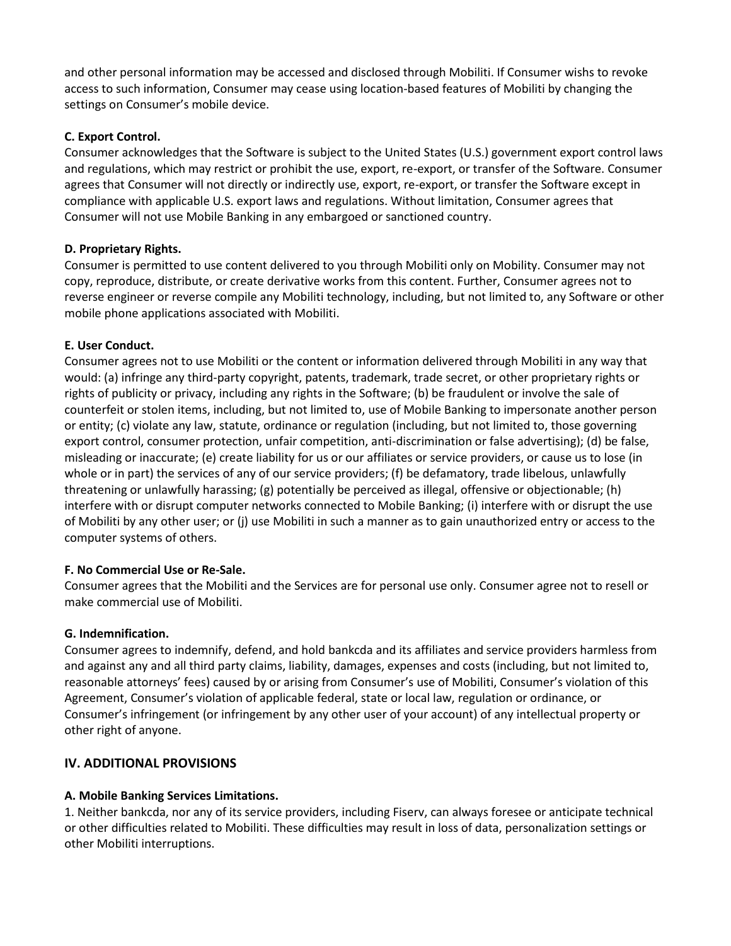and other personal information may be accessed and disclosed through Mobiliti. If Consumer wishs to revoke access to such information, Consumer may cease using location-based features of Mobiliti by changing the settings on Consumer's mobile device.

## **C. Export Control.**

Consumer acknowledges that the Software is subject to the United States (U.S.) government export control laws and regulations, which may restrict or prohibit the use, export, re-export, or transfer of the Software. Consumer agrees that Consumer will not directly or indirectly use, export, re-export, or transfer the Software except in compliance with applicable U.S. export laws and regulations. Without limitation, Consumer agrees that Consumer will not use Mobile Banking in any embargoed or sanctioned country.

## **D. Proprietary Rights.**

Consumer is permitted to use content delivered to you through Mobiliti only on Mobility. Consumer may not copy, reproduce, distribute, or create derivative works from this content. Further, Consumer agrees not to reverse engineer or reverse compile any Mobiliti technology, including, but not limited to, any Software or other mobile phone applications associated with Mobiliti.

## **E. User Conduct.**

Consumer agrees not to use Mobiliti or the content or information delivered through Mobiliti in any way that would: (a) infringe any third-party copyright, patents, trademark, trade secret, or other proprietary rights or rights of publicity or privacy, including any rights in the Software; (b) be fraudulent or involve the sale of counterfeit or stolen items, including, but not limited to, use of Mobile Banking to impersonate another person or entity; (c) violate any law, statute, ordinance or regulation (including, but not limited to, those governing export control, consumer protection, unfair competition, anti-discrimination or false advertising); (d) be false, misleading or inaccurate; (e) create liability for us or our affiliates or service providers, or cause us to lose (in whole or in part) the services of any of our service providers; (f) be defamatory, trade libelous, unlawfully threatening or unlawfully harassing; (g) potentially be perceived as illegal, offensive or objectionable; (h) interfere with or disrupt computer networks connected to Mobile Banking; (i) interfere with or disrupt the use of Mobiliti by any other user; or (j) use Mobiliti in such a manner as to gain unauthorized entry or access to the computer systems of others.

#### **F. No Commercial Use or Re-Sale.**

Consumer agrees that the Mobiliti and the Services are for personal use only. Consumer agree not to resell or make commercial use of Mobiliti.

#### **G. Indemnification.**

Consumer agrees to indemnify, defend, and hold bankcda and its affiliates and service providers harmless from and against any and all third party claims, liability, damages, expenses and costs (including, but not limited to, reasonable attorneys' fees) caused by or arising from Consumer's use of Mobiliti, Consumer's violation of this Agreement, Consumer's violation of applicable federal, state or local law, regulation or ordinance, or Consumer's infringement (or infringement by any other user of your account) of any intellectual property or other right of anyone.

# **IV. ADDITIONAL PROVISIONS**

#### **A. Mobile Banking Services Limitations.**

1. Neither bankcda, nor any of its service providers, including Fiserv, can always foresee or anticipate technical or other difficulties related to Mobiliti. These difficulties may result in loss of data, personalization settings or other Mobiliti interruptions.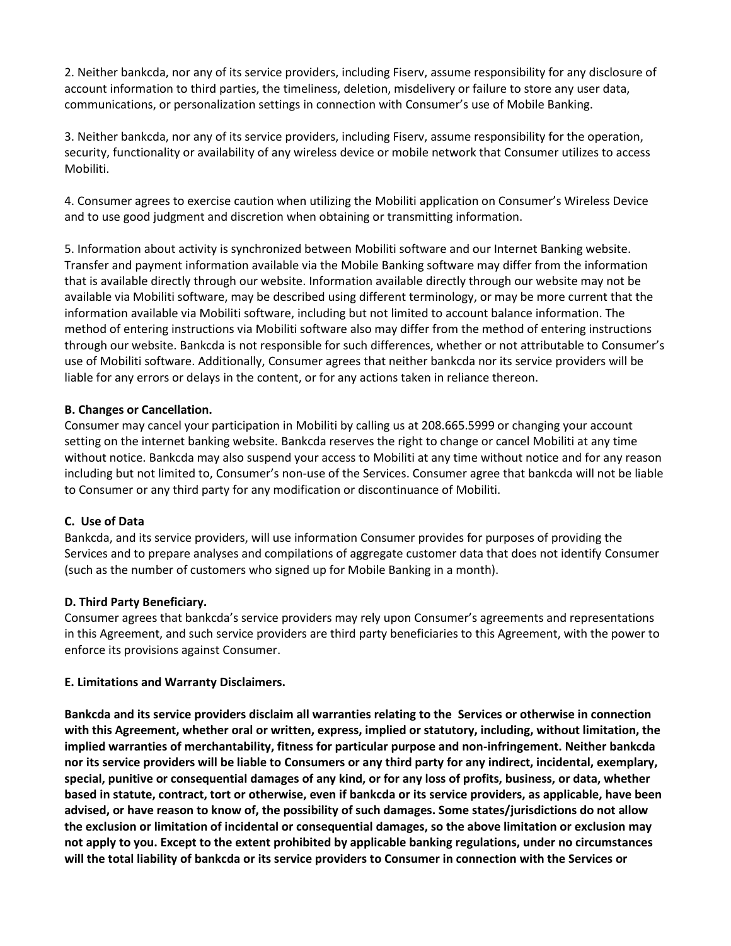2. Neither bankcda, nor any of its service providers, including Fiserv, assume responsibility for any disclosure of account information to third parties, the timeliness, deletion, misdelivery or failure to store any user data, communications, or personalization settings in connection with Consumer's use of Mobile Banking.

3. Neither bankcda, nor any of its service providers, including Fiserv, assume responsibility for the operation, security, functionality or availability of any wireless device or mobile network that Consumer utilizes to access Mobiliti.

4. Consumer agrees to exercise caution when utilizing the Mobiliti application on Consumer's Wireless Device and to use good judgment and discretion when obtaining or transmitting information.

5. Information about activity is synchronized between Mobiliti software and our Internet Banking website. Transfer and payment information available via the Mobile Banking software may differ from the information that is available directly through our website. Information available directly through our website may not be available via Mobiliti software, may be described using different terminology, or may be more current that the information available via Mobiliti software, including but not limited to account balance information. The method of entering instructions via Mobiliti software also may differ from the method of entering instructions through our website. Bankcda is not responsible for such differences, whether or not attributable to Consumer's use of Mobiliti software. Additionally, Consumer agrees that neither bankcda nor its service providers will be liable for any errors or delays in the content, or for any actions taken in reliance thereon.

#### **B. Changes or Cancellation.**

Consumer may cancel your participation in Mobiliti by calling us at 208.665.5999 or changing your account setting on the internet banking website. Bankcda reserves the right to change or cancel Mobiliti at any time without notice. Bankcda may also suspend your access to Mobiliti at any time without notice and for any reason including but not limited to, Consumer's non-use of the Services. Consumer agree that bankcda will not be liable to Consumer or any third party for any modification or discontinuance of Mobiliti.

#### **C. Use of Data**

Bankcda, and its service providers, will use information Consumer provides for purposes of providing the Services and to prepare analyses and compilations of aggregate customer data that does not identify Consumer (such as the number of customers who signed up for Mobile Banking in a month).

#### **D. Third Party Beneficiary.**

Consumer agrees that bankcda's service providers may rely upon Consumer's agreements and representations in this Agreement, and such service providers are third party beneficiaries to this Agreement, with the power to enforce its provisions against Consumer.

#### **E. Limitations and Warranty Disclaimers.**

**Bankcda and its service providers disclaim all warranties relating to the Services or otherwise in connection with this Agreement, whether oral or written, express, implied or statutory, including, without limitation, the implied warranties of merchantability, fitness for particular purpose and non-infringement. Neither bankcda nor its service providers will be liable to Consumers or any third party for any indirect, incidental, exemplary, special, punitive or consequential damages of any kind, or for any loss of profits, business, or data, whether based in statute, contract, tort or otherwise, even if bankcda or its service providers, as applicable, have been advised, or have reason to know of, the possibility of such damages. Some states/jurisdictions do not allow the exclusion or limitation of incidental or consequential damages, so the above limitation or exclusion may not apply to you. Except to the extent prohibited by applicable banking regulations, under no circumstances will the total liability of bankcda or its service providers to Consumer in connection with the Services or**